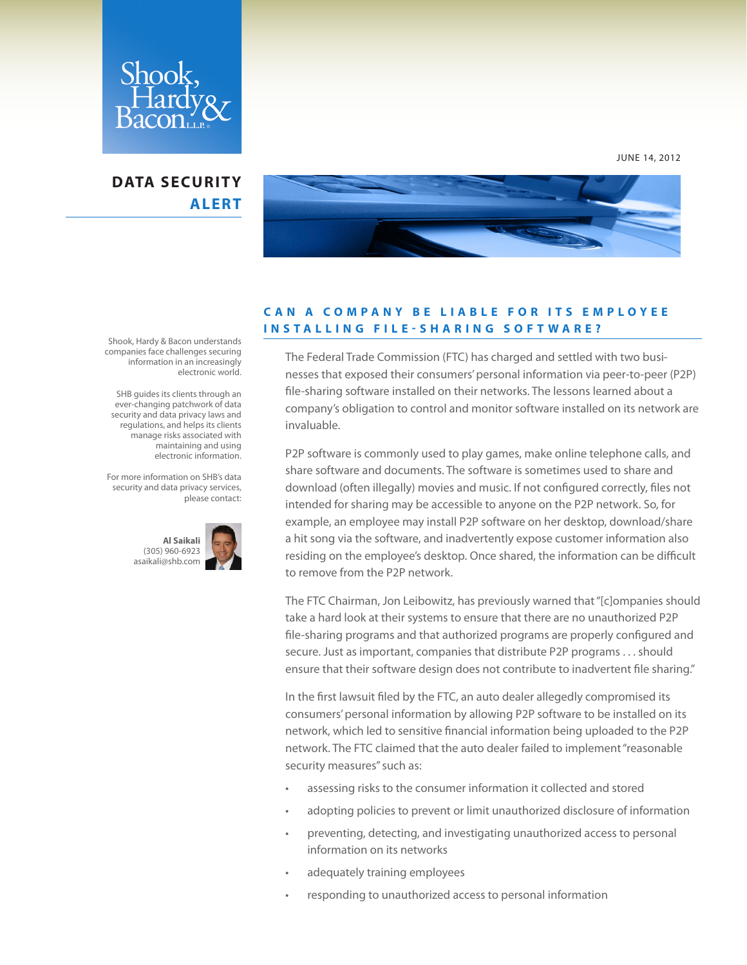

## **DATA SECURITY ALERT**



## **C A N A C O M P A N Y B E L I A B L E F O R I T S E M P L O Y E E I N S T A L L I N G F I L E - S H A R I N G S O F T W A R E ?**

The Federal Trade Commission (FTC) has charged and settled with two businesses that exposed their consumers' personal information via peer-to-peer (P2P) file-sharing software installed on their networks. The lessons learned about a company's obligation to control and monitor software installed on its network are invaluable.

P2P software is commonly used to play games, make online telephone calls, and share software and documents. The software is sometimes used to share and download (often illegally) movies and music. If not configured correctly, files not intended for sharing may be accessible to anyone on the P2P network. So, for example, an employee may install P2P software on her desktop, download/share a hit song via the software, and inadvertently expose customer information also residing on the employee's desktop. Once shared, the information can be difficult to remove from the P2P network.

The FTC Chairman, Jon Leibowitz, has previously warned that "[c]ompanies should take a hard look at their systems to ensure that there are no unauthorized P2P file-sharing programs and that authorized programs are properly configured and secure. Just as important, companies that distribute P2P programs . . . should ensure that their software design does not contribute to inadvertent file sharing."

In the first lawsuit filed by the FTC, an auto dealer allegedly compromised its consumers' personal information by allowing P2P software to be installed on its network, which led to sensitive financial information being uploaded to the P2P network. The FTC claimed that the auto dealer failed to implement "reasonable security measures" such as:

- assessing risks to the consumer information it collected and stored
- adopting policies to prevent or limit unauthorized disclosure of information
- preventing, detecting, and investigating unauthorized access to personal information on its networks
- adequately training employees
- responding to unauthorized access to personal information

Shook, Hardy & Bacon understands companies face challenges securing information in an increasingly electronic world.

 SHB guides its clients through an ever-changing patchwork of data security and data privacy laws and regulations, and helps its clients manage risks associated with maintaining and using electronic information.

For more information on SHB's data security and data privacy services, please contact: